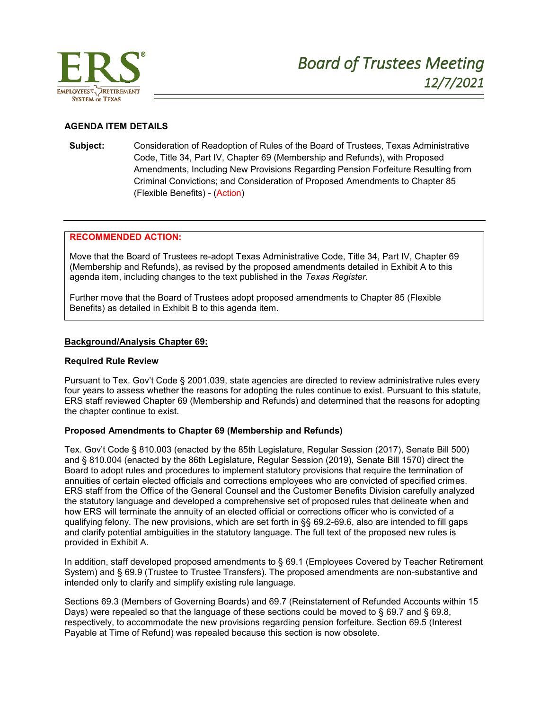

# **AGENDA ITEM DETAILS**

**Subject:** Consideration of Readoption of Rules of the Board of Trustees, Texas Administrative Code, Title 34, Part IV, Chapter 69 (Membership and Refunds), with Proposed Amendments, Including New Provisions Regarding Pension Forfeiture Resulting from Criminal Convictions; and Consideration of Proposed Amendments to Chapter 85 (Flexible Benefits) - (Action)

# **RECOMMENDED ACTION:**

Move that the Board of Trustees re-adopt Texas Administrative Code, Title 34, Part IV, Chapter 69 (Membership and Refunds), as revised by the proposed amendments detailed in Exhibit A to this agenda item, including changes to the text published in the *Texas Register*.

Further move that the Board of Trustees adopt proposed amendments to Chapter 85 (Flexible Benefits) as detailed in Exhibit B to this agenda item.

#### **Background/Analysis Chapter 69:**

#### **Required Rule Review**

Pursuant to Tex. Gov't Code § 2001.039, state agencies are directed to review administrative rules every four years to assess whether the reasons for adopting the rules continue to exist. Pursuant to this statute, ERS staff reviewed Chapter 69 (Membership and Refunds) and determined that the reasons for adopting the chapter continue to exist.

#### **Proposed Amendments to Chapter 69 (Membership and Refunds)**

Tex. Gov't Code § 810.003 (enacted by the 85th Legislature, Regular Session (2017), Senate Bill 500) and § 810.004 (enacted by the 86th Legislature, Regular Session (2019), Senate Bill 1570) direct the Board to adopt rules and procedures to implement statutory provisions that require the termination of annuities of certain elected officials and corrections employees who are convicted of specified crimes. ERS staff from the Office of the General Counsel and the Customer Benefits Division carefully analyzed the statutory language and developed a comprehensive set of proposed rules that delineate when and how ERS will terminate the annuity of an elected official or corrections officer who is convicted of a qualifying felony. The new provisions, which are set forth in §§ 69.2-69.6, also are intended to fill gaps and clarify potential ambiguities in the statutory language. The full text of the proposed new rules is provided in Exhibit A.

In addition, staff developed proposed amendments to § 69.1 (Employees Covered by Teacher Retirement System) and § 69.9 (Trustee to Trustee Transfers). The proposed amendments are non-substantive and intended only to clarify and simplify existing rule language.

Sections 69.3 (Members of Governing Boards) and 69.7 (Reinstatement of Refunded Accounts within 15 Days) were repealed so that the language of these sections could be moved to § 69.7 and § 69.8, respectively, to accommodate the new provisions regarding pension forfeiture. Section 69.5 (Interest Payable at Time of Refund) was repealed because this section is now obsolete.